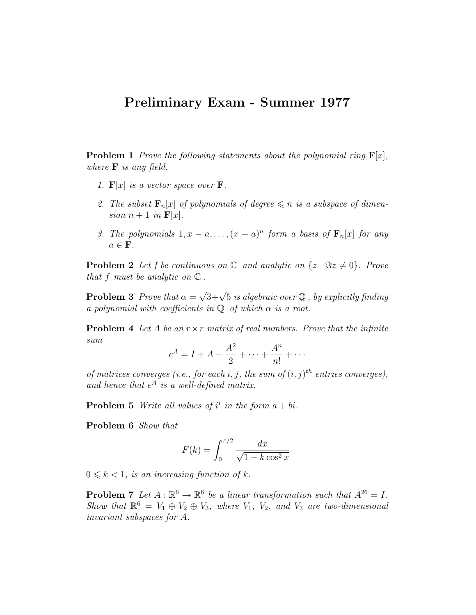## Preliminary Exam - Summer 1977

**Problem 1** Prove the following statements about the polynomial ring  $\mathbf{F}[x]$ , where  $\bf{F}$  is any field.

- 1.  $\mathbf{F}[x]$  is a vector space over **F**.
- 2. The subset  $\mathbf{F}_n[x]$  of polynomials of degree  $\leq n$  is a subspace of dimension  $n+1$  in  $\mathbf{F}[x]$ .
- 3. The polynomials  $1, x a, \ldots, (x a)^n$  form a basis of  $\mathbf{F}_n[x]$  for any  $a \in \mathbf{F}$ .

**Problem 2** Let f be continuous on  $\mathbb C$  and analytic on  $\{z \mid \Im z \neq 0\}$ . Prove that f must be analytic on  $\mathbb C$ .

**Problem 3** Prove that  $\alpha =$  $\sqrt{3}+\sqrt{5}$  is algebraic over Q, by explicitly finding a polynomial with coefficients in  $\mathbb Q$  of which  $\alpha$  is a root.

**Problem 4** Let A be an  $r \times r$  matrix of real numbers. Prove that the infinite sum

$$
e^A = I + A + \frac{A^2}{2} + \dots + \frac{A^n}{n!} + \dots
$$

of matrices converges (i.e., for each i, j, the sum of  $(i, j)$ <sup>th</sup> entries converges), and hence that  $e^A$  is a well-defined matrix.

**Problem 5** Write all values of  $i^i$  in the form  $a + bi$ .

Problem 6 Show that

$$
F(k) = \int_0^{\pi/2} \frac{dx}{\sqrt{1 - k \cos^2 x}}
$$

 $0 \leq k < 1$ , is an increasing function of k.

**Problem 7** Let  $A : \mathbb{R}^6 \to \mathbb{R}^6$  be a linear transformation such that  $A^{26} = I$ . Show that  $\mathbb{R}^6 = V_1 \oplus V_2 \oplus V_3$ , where  $V_1$ ,  $V_2$ , and  $V_3$  are two-dimensional invariant subspaces for A.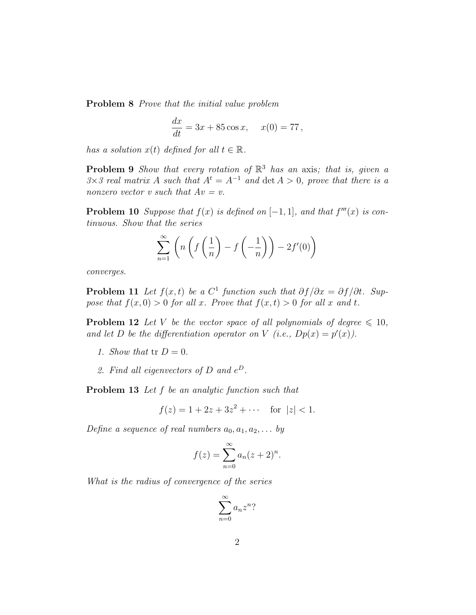Problem 8 Prove that the initial value problem

$$
\frac{dx}{dt} = 3x + 85\cos x, \quad x(0) = 77,
$$

has a solution  $x(t)$  defined for all  $t \in \mathbb{R}$ .

**Problem 9** Show that every rotation of  $\mathbb{R}^3$  has an axis; that is, given a  $3\times3$  real matrix A such that  $A^t = A^{-1}$  and  $\det A > 0$ , prove that there is a nonzero vector v such that  $Av = v$ .

**Problem 10** Suppose that  $f(x)$  is defined on  $[-1,1]$ , and that  $f'''(x)$  is continuous. Show that the series

$$
\sum_{n=1}^{\infty} \left( n \left( f\left(\frac{1}{n}\right) - f\left(-\frac{1}{n}\right) \right) - 2f'(0) \right)
$$

converges.

**Problem 11** Let  $f(x,t)$  be a  $C^1$  function such that  $\partial f/\partial x = \partial f/\partial t$ . Suppose that  $f(x, 0) > 0$  for all x. Prove that  $f(x, t) > 0$  for all x and t.

**Problem 12** Let V be the vector space of all polynomials of degree  $\leq 10$ , and let D be the differentiation operator on V (i.e.,  $Dp(x) = p'(x)$ ).

- 1. Show that  $tr D = 0$ .
- 2. Find all eigenvectors of D and  $e^D$ .

Problem 13 Let f be an analytic function such that

$$
f(z) = 1 + 2z + 3z^2 + \dots \quad \text{for } |z| < 1.
$$

Define a sequence of real numbers  $a_0, a_1, a_2, \ldots$  by

$$
f(z) = \sum_{n=0}^{\infty} a_n (z+2)^n.
$$

What is the radius of convergence of the series

$$
\sum_{n=0}^{\infty} a_n z^n?
$$